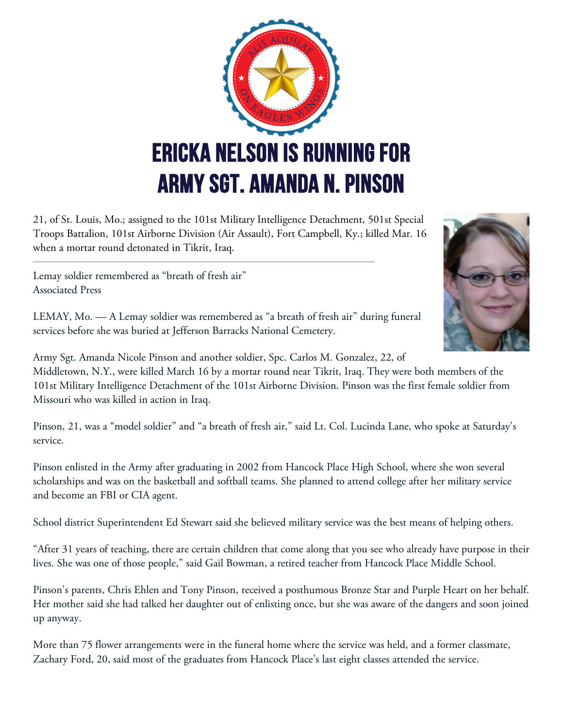

21, of St. Louis, Mo.; assigned to the 101st Military Intelligence Detachment, 501st Special Troops Battalion, 101st Airborne Division (Air Assault), Fort Campbell, Ky.; killed Mar. 16 when a mortar round detonated in Tikrit, Iraq.

Lemay soldier remembered as "breath of fresh air" Associated Press

LEMAY, Mo. — A Lemay soldier was remembered as "a breath of fresh air" during funeral services before she was buried at Jefferson Barracks National Cemetery.



Army Sgt. Amanda Nicole Pinson and another soldier, Spc. Carlos M. Gonzalez, 22, of Middletown, N.Y., were killed March 16 by a mortar round near Tikrit, Iraq. They were both members of the 101st Military Intelligence Detachment of the 101st Airborne Division. Pinson was the first female soldier from

Missouri who was killed in action in Iraq.

Pinson, 21, was a "model soldier" and "a breath of fresh air," said Lt. Col. Lucinda Lane, who spoke at Saturday's service.

Pinson enlisted in the Army after graduating in 2002 from Hancock Place High School, where she won several scholarships and was on the basketball and softball teams. She planned to attend college after her military service and become an FBI or CIA agent.

School district Superintendent Ed Stewart said she believed military service was the best means of helping others.

"After 31 years of teaching, there are certain children that come along that you see who already have purpose in their lives. She was one of those people," said Gail Bowman, a retired teacher from Hancock Place Middle School.

Pinson's parents, Chris Ehlen and Tony Pinson, received a posthumous Bronze Star and Purple Heart on her behalf. Her mother said she had talked her daughter out of enlisting once, but she was aware of the dangers and soon joined up anyway.

More than 75 flower arrangements were in the funeral home where the service was held, and a former classmate, Zachary Ford, 20, said most of the graduates from Hancock Place's last eight classes attended the service.